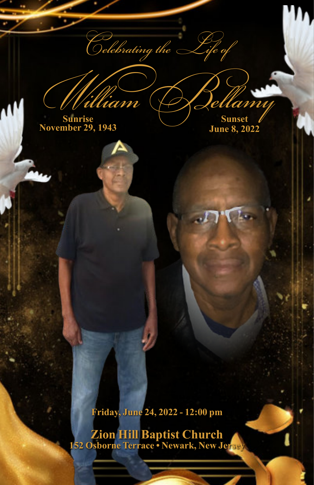$\widetilde{\phantom{a}}$ elebrating the

William Bellamy **Sunrise November 29, 1943**

**Sunset June 8, 2022**

**Friday, June 24, 2022 - 12:00 pm**

**Zion Hill Baptist Church 152 Osborne Terrace • Newark, New Jersey**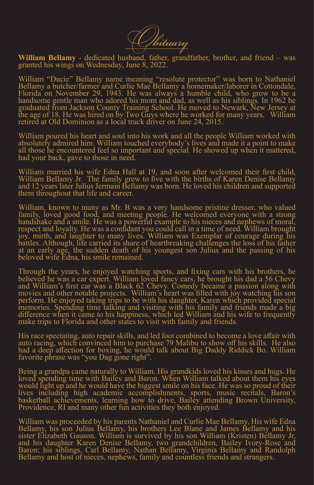

**William Bellamy** - dedicated husband, father, grandfather, brother, and friend – was granted his wings on Wednesday, June 8, 2022.

William "Ducie" Bellamy name meaning "resolute protector" was born to Nathaniel Bellamy a butcher/farmer and Curlie Mae Bellamy a homemaker/laborer in Cottondale, Florida on November 29, 1943. He was always a humble child, who grow to be a handsome gentle man who adored his mom and dad, as well as his siblings. In 1962 he graduated from Jackson County Training School. He moved to Newark, New Jersey at the age of 18. He was hired on by Two Guys where he worked for many years. William retired at Old Dominion as a local truck driver on June 24, 2015.

William poured his heart and soul into his work and all the people William worked with absolutely admired him. William touched everybody's lives and made it a point to make all those he encountered feel so important and special. He showed up when it mattered, had your back, gave to those in need.

William married his wife Edna Hall at 19, and soon after welcomed their first child, William Bellamy Jr. The family grew to five with the births of Karen Denise Bellamy and 12 years later Julius Jermain Bellamy was born. He loved his children and supported them throughout that life and career.

William, known to many as Mr. B was a very handsome pristine dresser, who valued family, loved good food, and meeting people. He welcomed everyone with a strong handshake and a smile. He was a powerful example to his nieces and nephews of moral, respect and loyalty. He was a confidant you could call in a time of need. William brought joy, mirth, and laughter to many lives. William was Exemplar of courage during his battles. Although, life carried its share of heartbreaking challenges the loss of his father at an early age, the sudden death of his youngest son Julius and the passing of his beloved wife Edna, his smile remained.

Through the years, he enjoyed watching sports, and fixing cars with his brothers, he believed he was a car expert. William loved fancy cars, he brought his dad a 56 Chevy and William's first car was a Black 62 Chevy. Comedy became a passion along with movies and other notable projects. William's heart was filled with joy watching his son perform. He enjoyed taking trips to be with his daughter, Karen which provided special memories. Spending time talking and visiting with his family and friends made a big difference when it came to his happiness, which led William and his wife to frequently make trips to Florida and other states to visit with family and friends.

His race spectating, auto repair skills, and led foot combined to become a love affair with auto racing, which convinced him to purchase 79 Malibu to show off his skills. He also had a deep affection for boxing, he would talk about Big Daddy Riddick Bo. William favorite phrase was "you Dag gone right".

Being a grandpa came naturally to William. His grandkids loved his kisses and hugs. He loved spending time with Bailey and Baron. When William talked about them his eyes would light up and he would have the biggest smile on his face. He was so proud of their lives including high academic accomplishments, sports, music recitals, Baron's basketball achievements, learning how to drive, Bailey attending Brown University, Providence, RI and many other fun activities they both enjoyed.

William was proceeded by his parents Nathaniel and Curlie Mae Bellamy, His wife Edna Bellamy, his son Julius Bellamy, his brothers Lee Blane and James Bellamy and his sister Elizabeth Gauson. William is survived by his son William (Kristen) Bellamy Jr, and his daughter Karen Denise Bellamy, two grandchildren, Bailey Ivory-Rose and Baron; his siblings, Carl Bellamy, Nathan Bellamy, Virginia Bellamy and Randolph Bellamy and host of nieces, nephews, family and countless friends and strangers.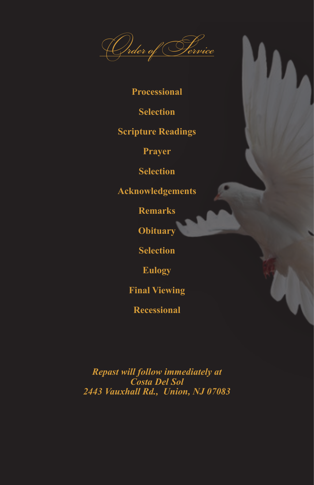

## **Processional**

**Selection**

## **Scripture Readings**

**Prayer**

**Selection**

**Acknowledgements**

**Remarks**

**Obituary**

**Selection**

**Eulogy**

**Final Viewing**

**Recessional**

*Repast will follow immediately at Costa Del Sol 2443 Vauxhall Rd., Union, NJ 07083*